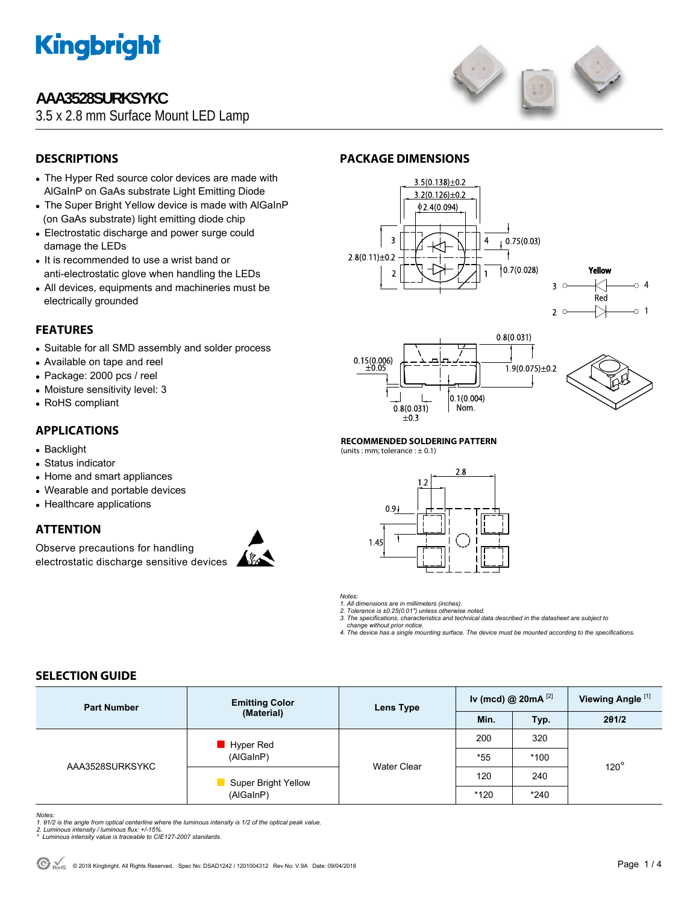

### **AAA3528SURKSYKC**

3.5 x 2.8 mm Surface Mount LED Lamp



### **DESCRIPTIONS**

- The Hyper Red source color devices are made with AlGaInP on GaAs substrate Light Emitting Diode
- The Super Bright Yellow device is made with AlGaInP (on GaAs substrate) light emitting diode chip
- Electrostatic discharge and power surge could damage the LEDs
- It is recommended to use a wrist band or anti-electrostatic glove when handling the LEDs
- All devices, equipments and machineries must be electrically grounded

#### **FEATURES**

- Suitable for all SMD assembly and solder process
- Available on tape and reel
- Package: 2000 pcs / reel
- Moisture sensitivity level: 3
- RoHS compliant

#### **APPLICATIONS**

- Backlight
- Status indicator
- Home and smart appliances
- Wearable and portable devices
- Healthcare applications

#### **ATTENTION**

Observe precautions for handling electrostatic discharge sensitive devices



#### **PACKAGE DIMENSIONS**









### **RECOMMENDED SOLDERING PATTERN**

(units : mm; tolerance :  $\pm$  0.1)





*1. All dimensions are in millimeters (inches). 2. Tolerance is ±0.25(0.01") unless otherwise noted.* 

*3. The specifications, characteristics and technical data described in the datasheet are subject to* 

 *change without prior notice.* 

*4. The device has a single mounting surface. The device must be mounted according to the specifications.* 

#### **SELECTION GUIDE**

| <b>Part Number</b> | <b>Emitting Color</b><br>(Material)     | Lens Type          | Iv (mcd) @ $20mA$ <sup>[2]</sup> |        | Viewing Angle <sup>[1]</sup> |  |
|--------------------|-----------------------------------------|--------------------|----------------------------------|--------|------------------------------|--|
|                    |                                         |                    | Min.                             | Typ.   | 201/2                        |  |
| AAA3528SURKSYKC    | Hyper Red<br>(AlGaInP)                  | <b>Water Clear</b> | 200                              | 320    |                              |  |
|                    |                                         |                    | *55                              | $*100$ | $120^\circ$                  |  |
|                    | <b>Super Bright Yellow</b><br>(AlGaInP) |                    | 120                              | 240    |                              |  |
|                    |                                         |                    | *120                             | $*240$ |                              |  |

*Notes:* 

*1. θ1/2 is the angle from optical centerline where the luminous intensity is 1/2 of the optical peak value. 2. Luminous intensity / luminous flux: +/-15%.* 

*\* Luminous intensity value is traceable to CIE127-2007 standards.*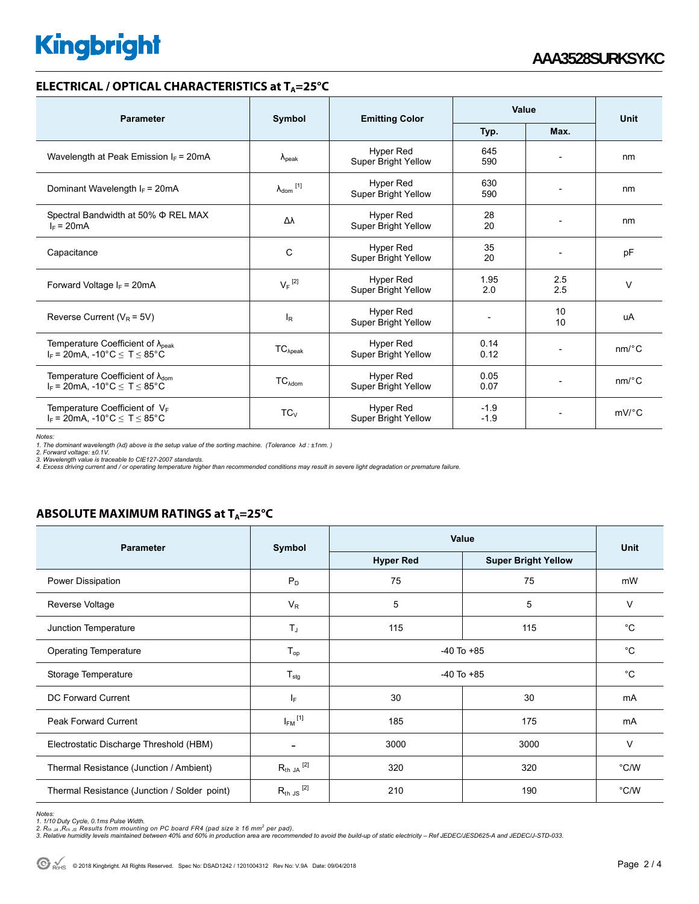# **Kingbright**

#### **ELECTRICAL / OPTICAL CHARACTERISTICS at T<sub>A</sub>=25°C**

| <b>Parameter</b>                                                                              | Symbol                     | <b>Emitting Color</b>                          | Value                    |                | Unit                  |
|-----------------------------------------------------------------------------------------------|----------------------------|------------------------------------------------|--------------------------|----------------|-----------------------|
|                                                                                               |                            |                                                | Typ.                     | Max.           |                       |
| Wavelength at Peak Emission $I_F$ = 20mA                                                      | $\Lambda_{\rm peak}$       | <b>Hyper Red</b><br>Super Bright Yellow        | 645<br>590               |                | nm                    |
| Dominant Wavelength $I_F = 20 \text{mA}$                                                      | $\lambda_{\text{dom}}$ [1] | <b>Hyper Red</b><br><b>Super Bright Yellow</b> | 630<br>590               |                | nm                    |
| Spectral Bandwidth at 50% $\Phi$ REL MAX<br>$I_F = 20mA$                                      | Δλ                         | Hyper Red<br>Super Bright Yellow               | 28<br>20                 |                | nm                    |
| Capacitance                                                                                   | C                          | Hyper Red<br>Super Bright Yellow               | 35<br>20                 |                | pF                    |
| Forward Voltage $I_F$ = 20mA                                                                  | $V_F$ <sup>[2]</sup>       | <b>Hyper Red</b><br><b>Super Bright Yellow</b> | 1.95<br>2.0              | 2.5<br>2.5     | $\vee$                |
| Reverse Current ( $V_R$ = 5V)                                                                 | $I_R$                      | <b>Hyper Red</b><br>Super Bright Yellow        | $\overline{\phantom{a}}$ | 10<br>10       | uA                    |
| Temperature Coefficient of $\lambda_{\text{peak}}$<br>$I_F$ = 20mA, -10°C $\leq T \leq 85$ °C | $TC_{\lambda peak}$        | <b>Hyper Red</b><br>Super Bright Yellow        | 0.14<br>0.12             |                | $nm$ <sup>o</sup> $C$ |
| Temperature Coefficient of $\lambda_{\text{dom}}$<br>$I_F$ = 20mA, -10°C $\leq T \leq 85$ °C  | $TC_{\lambda dom}$         | <b>Hyper Red</b><br>Super Bright Yellow        | 0.05<br>0.07             | $\overline{a}$ | nm/°C                 |
| Temperature Coefficient of $V_F$<br>$I_F$ = 20mA, -10°C $\le T \le 85$ °C                     | $TC_V$                     | <b>Hyper Red</b><br><b>Super Bright Yellow</b> | $-1.9$<br>$-1.9$         |                | $mV$ <sup>o</sup> $C$ |

*Notes:* 

1. The dominant wavelength (λd) above is the setup value of the sorting machine. (Tolerance λd : ±1nm. )<br>2. Forward voltage: ±0.1V.<br>3. Wavelength value is traceable to CIE127-2007 standards.<br>4. Excess driving current and

#### **ABSOLUTE MAXIMUM RATINGS at T<sub>A</sub>=25°C**

| <b>Parameter</b>                             | Symbol                   | Value            | Unit                       |             |  |
|----------------------------------------------|--------------------------|------------------|----------------------------|-------------|--|
|                                              |                          | <b>Hyper Red</b> | <b>Super Bright Yellow</b> |             |  |
| Power Dissipation                            | $P_D$                    | 75               | 75                         | mW          |  |
| Reverse Voltage                              | $V_R$                    | 5                | 5                          | V           |  |
| Junction Temperature                         | $T_{\rm J}$              | 115              | 115                        | $^{\circ}C$ |  |
| <b>Operating Temperature</b>                 | $T_{op}$                 | $-40$ To $+85$   |                            | $^{\circ}C$ |  |
| Storage Temperature                          | $T_{\text{stg}}$         | $-40$ To $+85$   | $^{\circ}C$                |             |  |
| DC Forward Current                           | IF.                      | 30               | 30                         | mA          |  |
| <b>Peak Forward Current</b>                  | $I_{FM}$ <sup>[1]</sup>  | 185              | 175                        | mA          |  |
| Electrostatic Discharge Threshold (HBM)      | $\overline{\phantom{a}}$ | 3000<br>3000     |                            | V           |  |
| Thermal Resistance (Junction / Ambient)      | $R_{th}$ JA $^{[2]}$     | 320<br>320       |                            | °C/W        |  |
| Thermal Resistance (Junction / Solder point) | $R_{th}$ JS $^{[2]}$     | 210              | 190                        | °C/W        |  |

*Notes:* 

1. 1/10 Duty Cycle, 0.1ms Pulse Width.<br>2. R<sub>th Ju</sub> ,R<sub>h JS</sub> Results from mounting on PC board FR4 (pad size ≥ 16 mm<sup>2</sup> per pad).<br>3. Relative humidity levels maintained between 40% and 60% in production area are recommende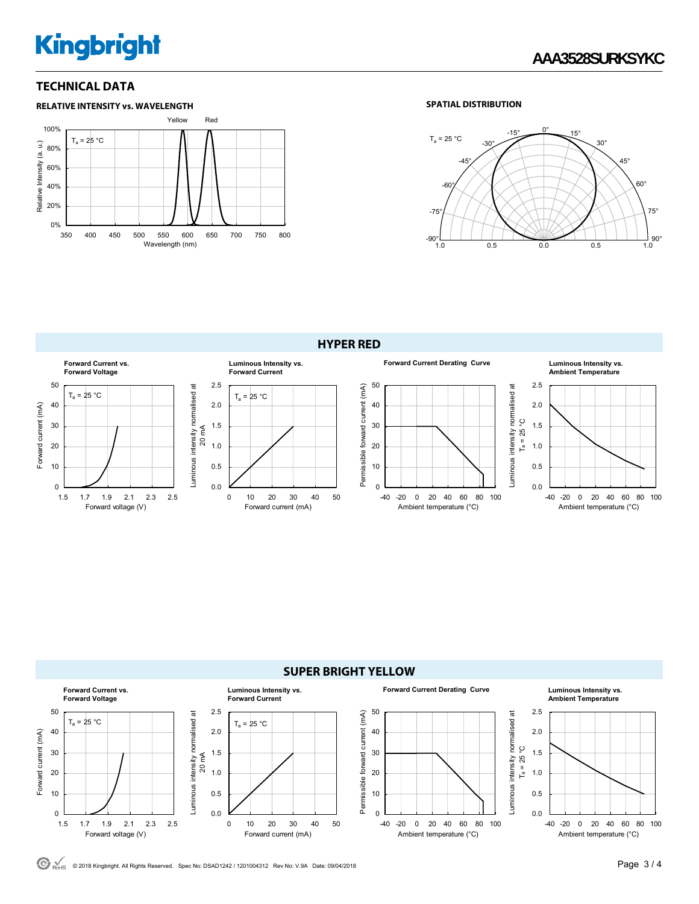# **Kingbright**

#### **TECHNICAL DATA**





**HYPER RED**